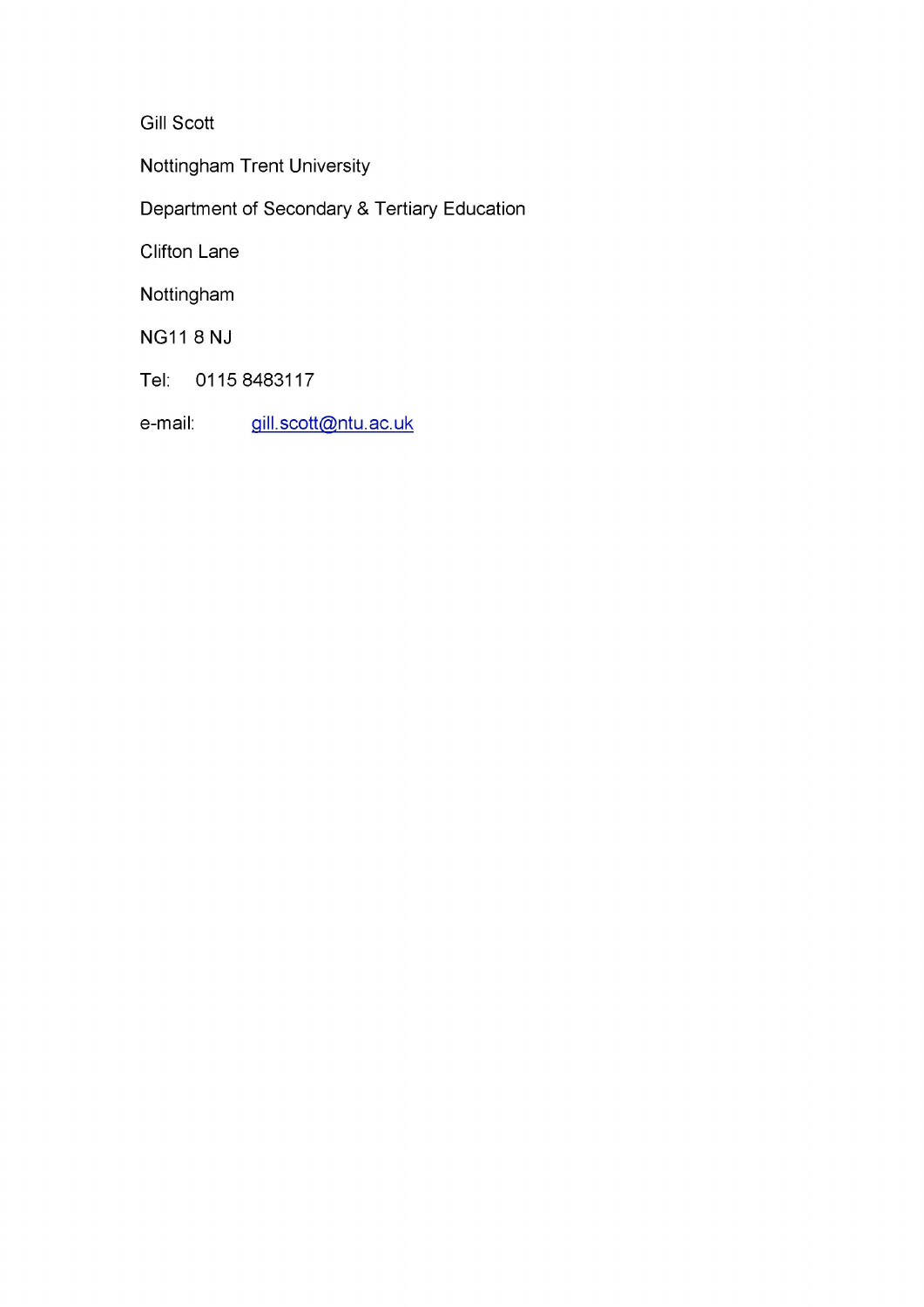Gill Scott

Nottingham Trent University

Department of Secondary & Tertiary Education

Clifton Lane

Nottingham

NG11 8NJ

Tel: 0115 8483117

e-mail: gill.scott@ntu.ac.uk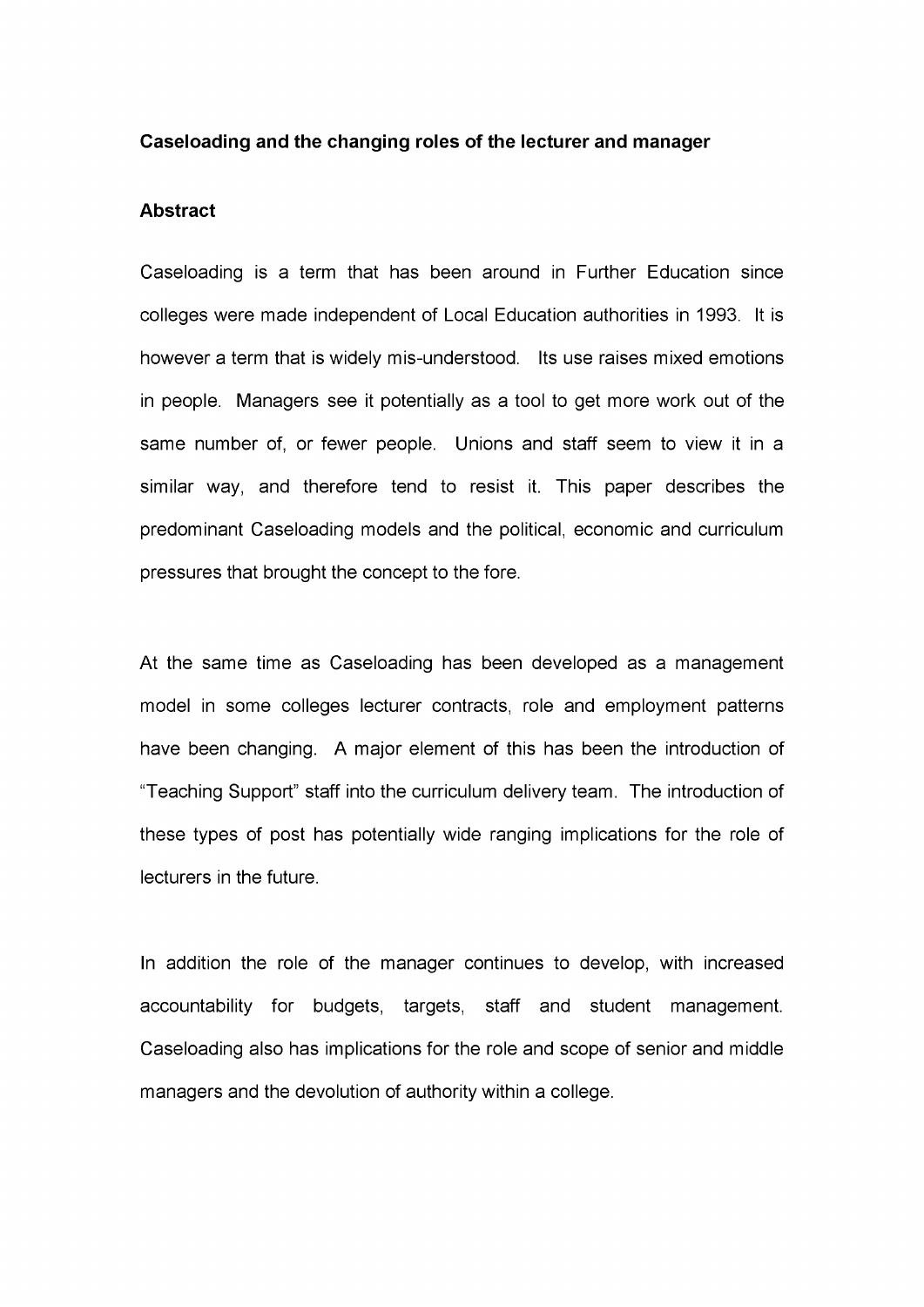#### **Caseloading and the changing roles of the lecturer and manager**

#### **Abstract**

Caseloading is a term that has been around in Further Education since colleges were made independent of Local Education authorities in 1993. It is however a term that is widely mis-understood. Its use raises mixed emotions in people. Managers see it potentially as a tool to get more work out of the same number of, or fewer people. Unions and staff seem to view it in a similar way, and therefore tend to resist it. This paper describes the predominant Caseloading models and the political, economic and curriculum pressures that brought the concept to the fore.

At the same time as Caseloading has been developed as a management model in some colleges lecturer contracts, role and employment patterns have been changing. A major element of this has been the introduction of "Teaching Support" staff into the curriculum delivery team. The introduction of these types of post has potentially wide ranging implications for the role of lecturers in the future.

In addition the role of the manager continues to develop, with increased accountability for budgets, targets, staff and student management. Caseloading also has implications for the role and scope of senior and middle managers and the devolution of authority within a college.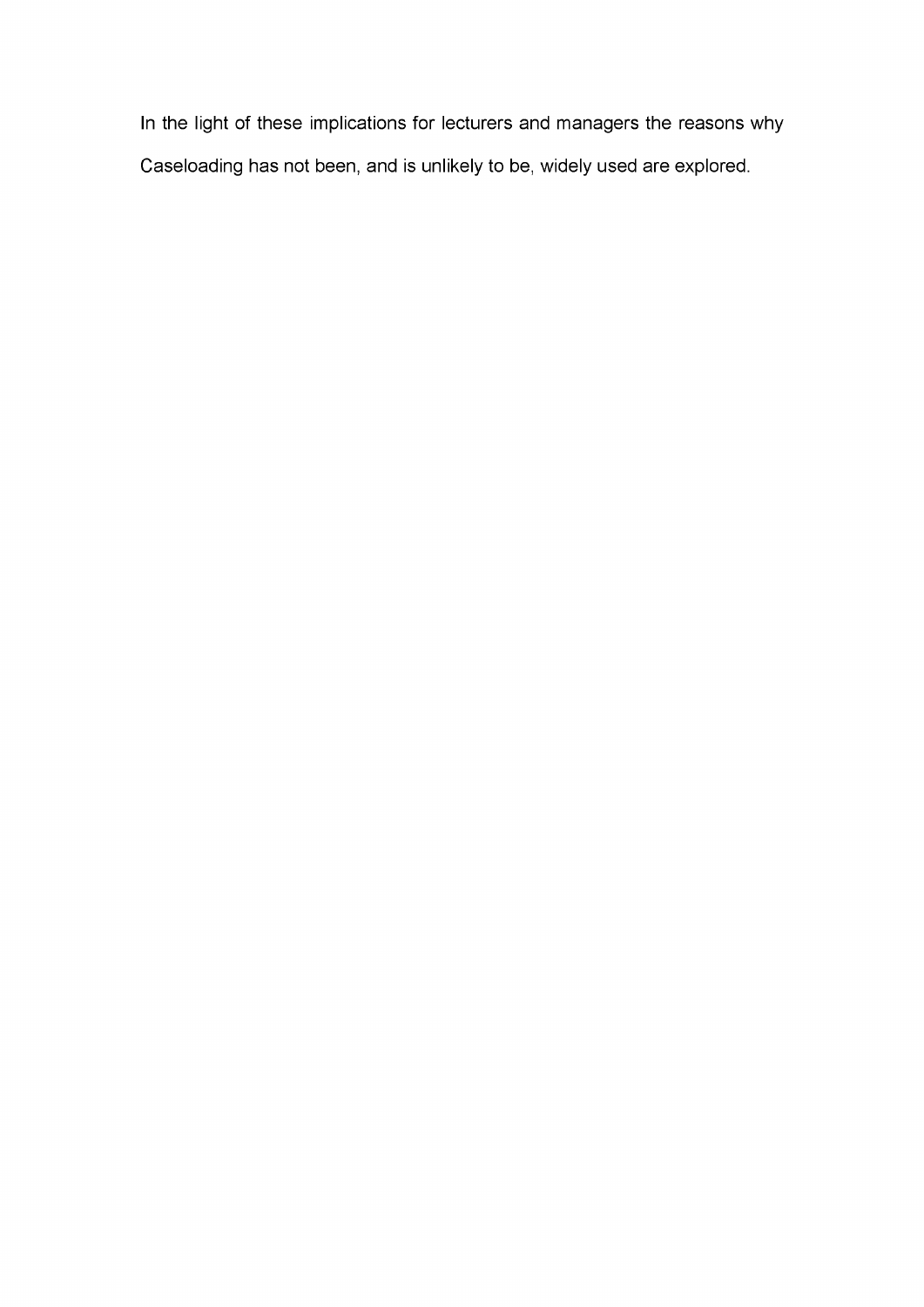In the light of these implications for lecturers and managers the reasons why Caseloading has not been, and is unlikely to be, widely used are explored.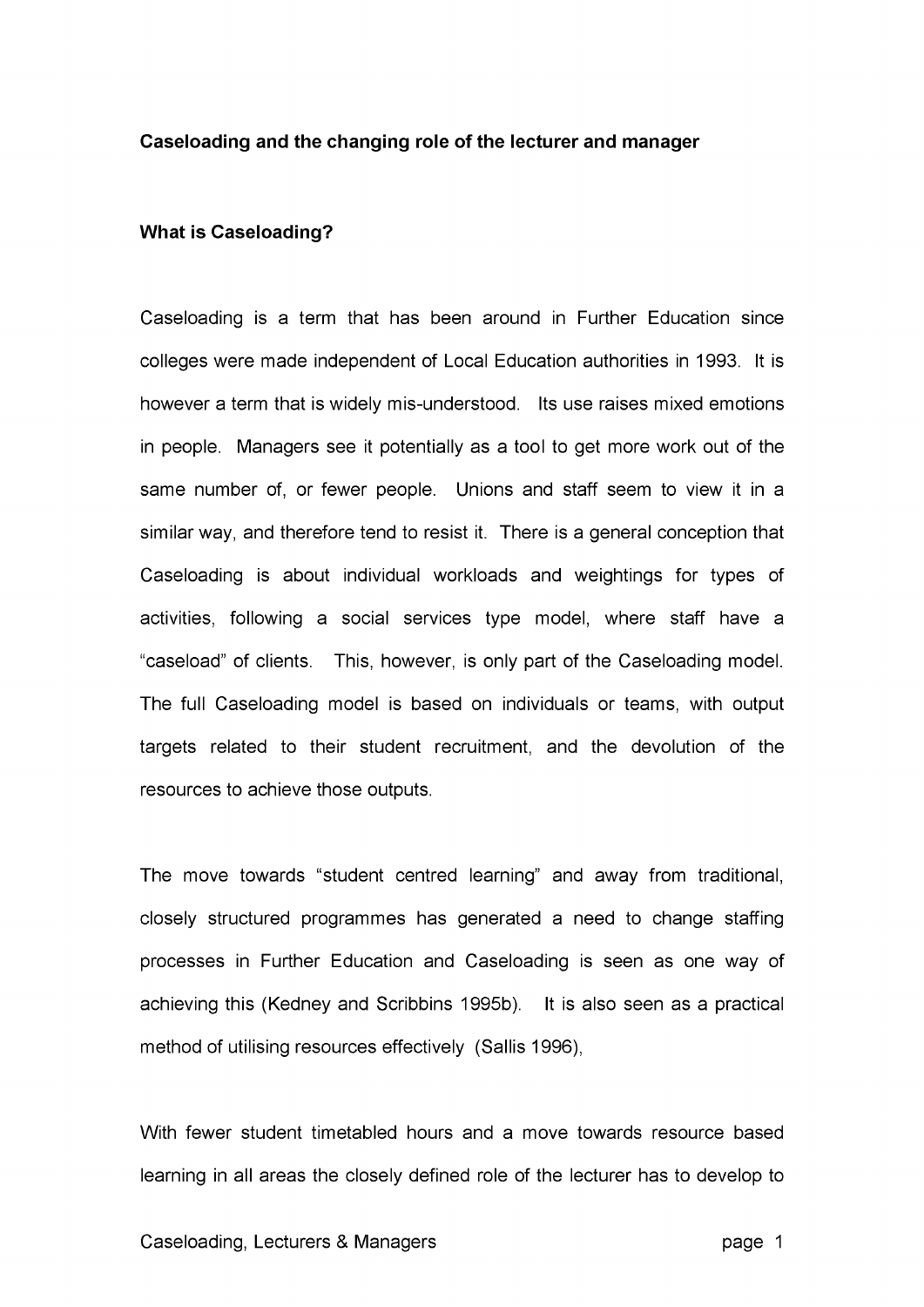#### **Caseloading and the changing role of the lecturer and manager**

### **What is Caseloading?**

Caseloading is a term that has been around in Further Education since colleges were made independent of Local Education authorities in 1993. It is however a term that is widely mis-understood. Its use raises mixed emotions in people. Managers see it potentially as a tool to get more work out of the same number of, or fewer people. Unions and staff seem to view it in a similar way, and therefore tend to resist it. There is a general conception that Caseloading is about individual workloads and weightings for types of activities, following a social services type model, where staff have a "caseload" of clients. This, however, is only part of the Caseloading model. The full Caseloading model is based on individuals or teams, with output targets related to their student recruitment, and the devolution of the resources to achieve those outputs.

The move towards "student centred learning" and away from traditional, closely structured programmes has generated a need to change staffing processes in Further Education and Caseloading is seen as one way of achieving this (Kedney and Scribbins 1995b). It is also seen as a practical method of utilising resources effectively (Sallis 1996),

With fewer student timetabled hours and a move towards resource based learning in all areas the closely defined role of the lecturer has to develop to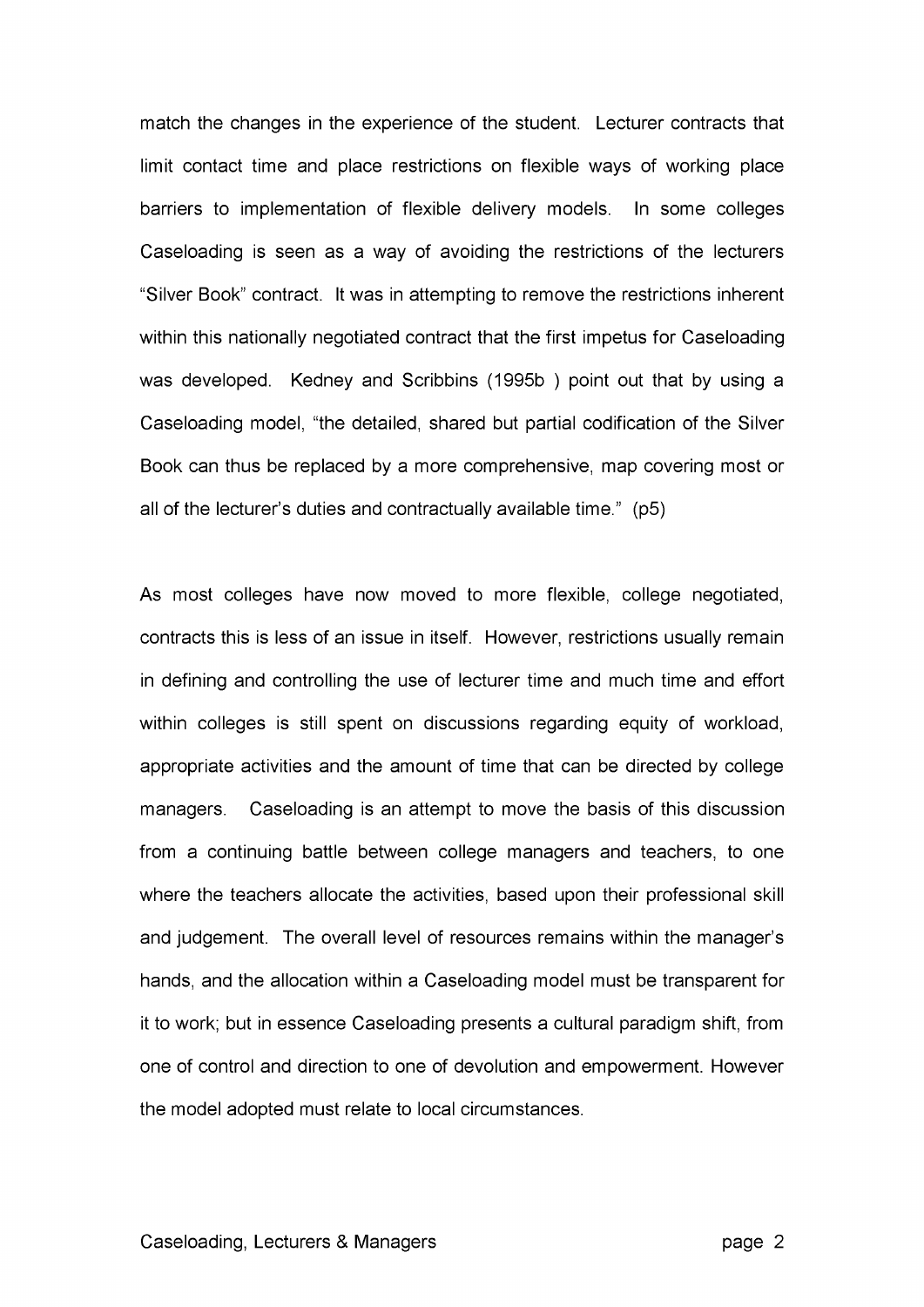match the changes in the experience of the student. Lecturer contracts that limit contact time and place restrictions on flexible ways of working place barriers to implementation of flexible delivery models. In some colleges Caseloading is seen as a way of avoiding the restrictions of the lecturers "Silver Book" contract. It was in attempting to remove the restrictions inherent within this nationally negotiated contract that the first impetus for Caseloading was developed. Kedney and Scribbins (1995b ) point out that by using a Caseloading model, "the detailed, shared but partial codification of the Silver Book can thus be replaced by a more comprehensive, map covering most or all of the lecturer's duties and contractually available time." (p5)

As most colleges have now moved to more flexible, college negotiated, contracts this is less of an issue in itself. However, restrictions usually remain in defining and controlling the use of lecturer time and much time and effort within colleges is still spent on discussions regarding equity of workload, appropriate activities and the amount of time that can be directed by college managers. Caseloading is an attempt to move the basis of this discussion from a continuing battle between college managers and teachers, to one where the teachers allocate the activities, based upon their professional skill and judgement. The overall level of resources remains within the manager's hands, and the allocation within a Caseloading model must be transparent for it to work; but in essence Caseloading presents a cultural paradigm shift, from one of control and direction to one of devolution and empowerment. However the model adopted must relate to local circumstances.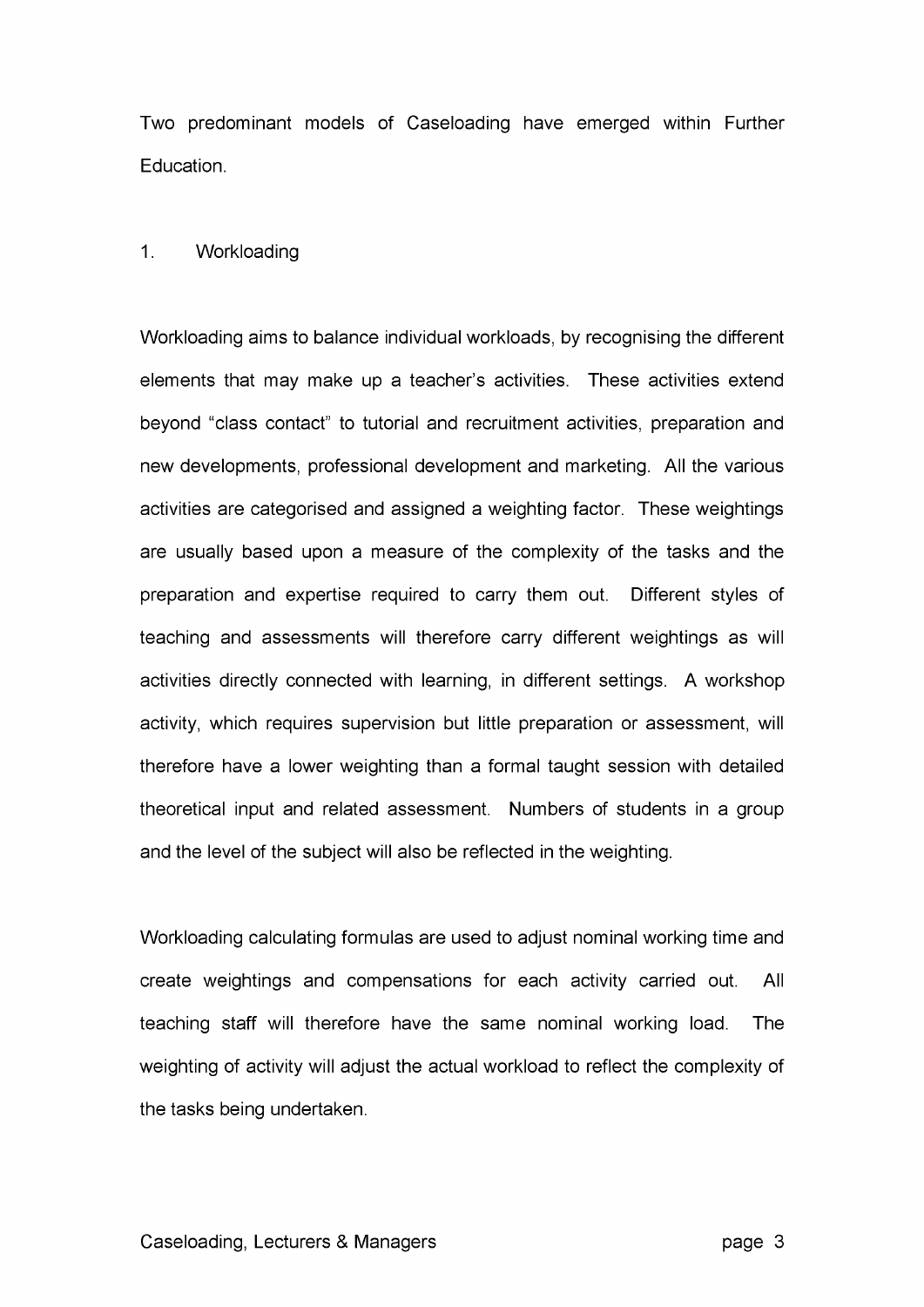Two predominant models of Caseloading have emerged within Further Education.

## 1. Workloading

Workloading aims to balance individual workloads, by recognising the different elements that may make up a teacher's activities. These activities extend beyond "class contact" to tutorial and recruitment activities, preparation and new developments, professional development and marketing. All the various activities are categorised and assigned a weighting factor. These weightings are usually based upon a measure of the complexity of the tasks and the preparation and expertise required to carry them out. Different styles of teaching and assessments will therefore carry different weightings as will activities directly connected with learning, in different settings. A workshop activity, which requires supervision but little preparation or assessment, will therefore have a lower weighting than a formal taught session with detailed theoretical input and related assessment. Numbers of students in a group and the level of the subject will also be reflected in the weighting.

Workloading calculating formulas are used to adjust nominal working time and create weightings and compensations for each activity carried out. All teaching staff will therefore have the same nominal working load. The weighting of activity will adjust the actual workload to reflect the complexity of the tasks being undertaken.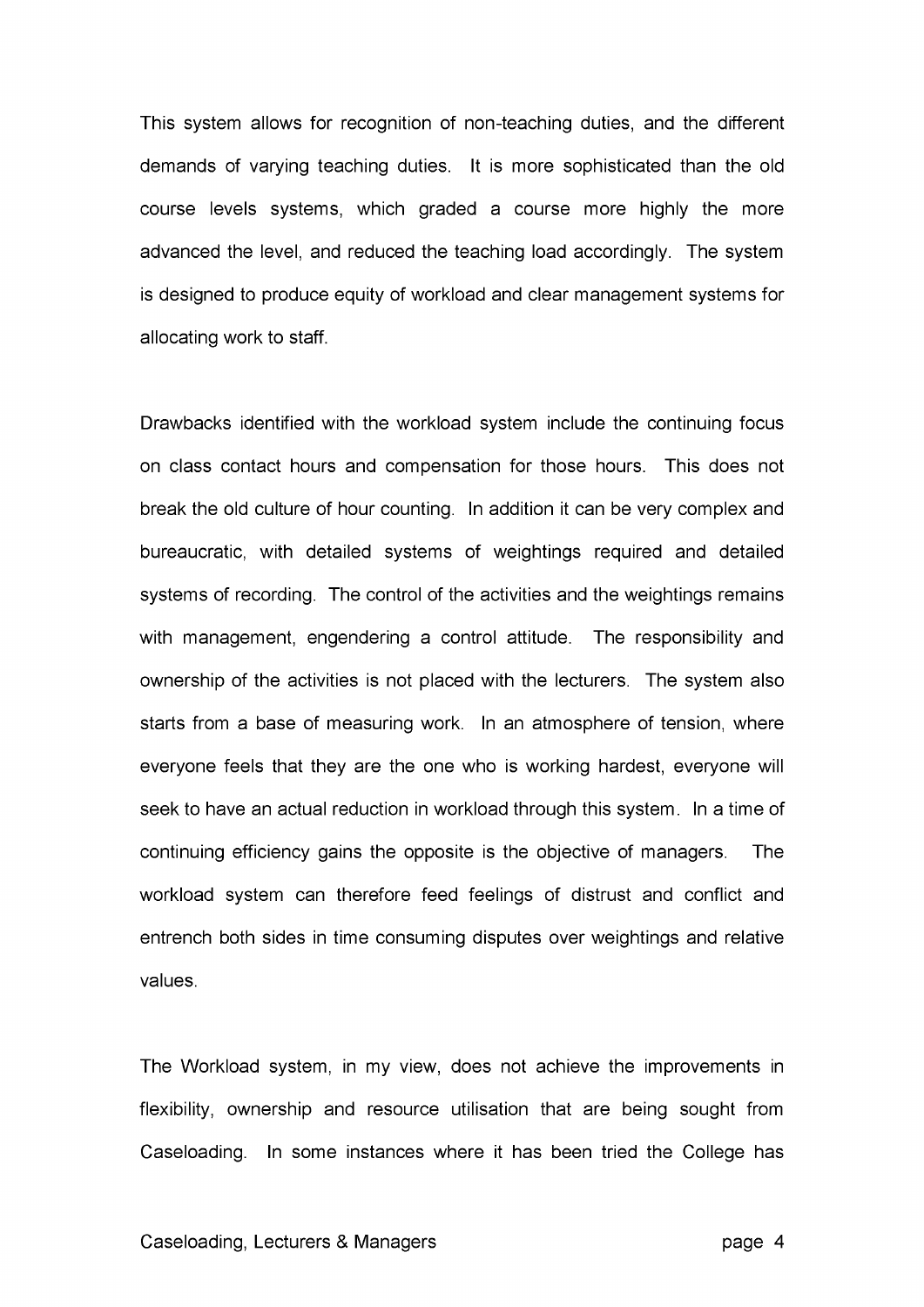This system allows for recognition of non-teaching duties, and the different demands of varying teaching duties. It is more sophisticated than the old course levels systems, which graded a course more highly the more advanced the level, and reduced the teaching load accordingly. The system is designed to produce equity of workload and clear management systems for allocating work to staff.

Drawbacks identified with the workload system include the continuing focus on class contact hours and compensation for those hours. This does not break the old culture of hour counting. In addition it can be very complex and bureaucratic, with detailed systems of weightings required and detailed systems of recording. The control of the activities and the weightings remains with management, engendering a control attitude. The responsibility and ownership of the activities is not placed with the lecturers. The system also starts from a base of measuring work. In an atmosphere of tension, where everyone feels that they are the one who is working hardest, everyone will seek to have an actual reduction in workload through this system. In a time of continuing efficiency gains the opposite is the objective of managers. The workload system can therefore feed feelings of distrust and conflict and entrench both sides in time consuming disputes over weightings and relative values.

The Workload system, in my view, does not achieve the improvements in flexibility, ownership and resource utilisation that are being sought from Caseloading. In some instances where it has been tried the College has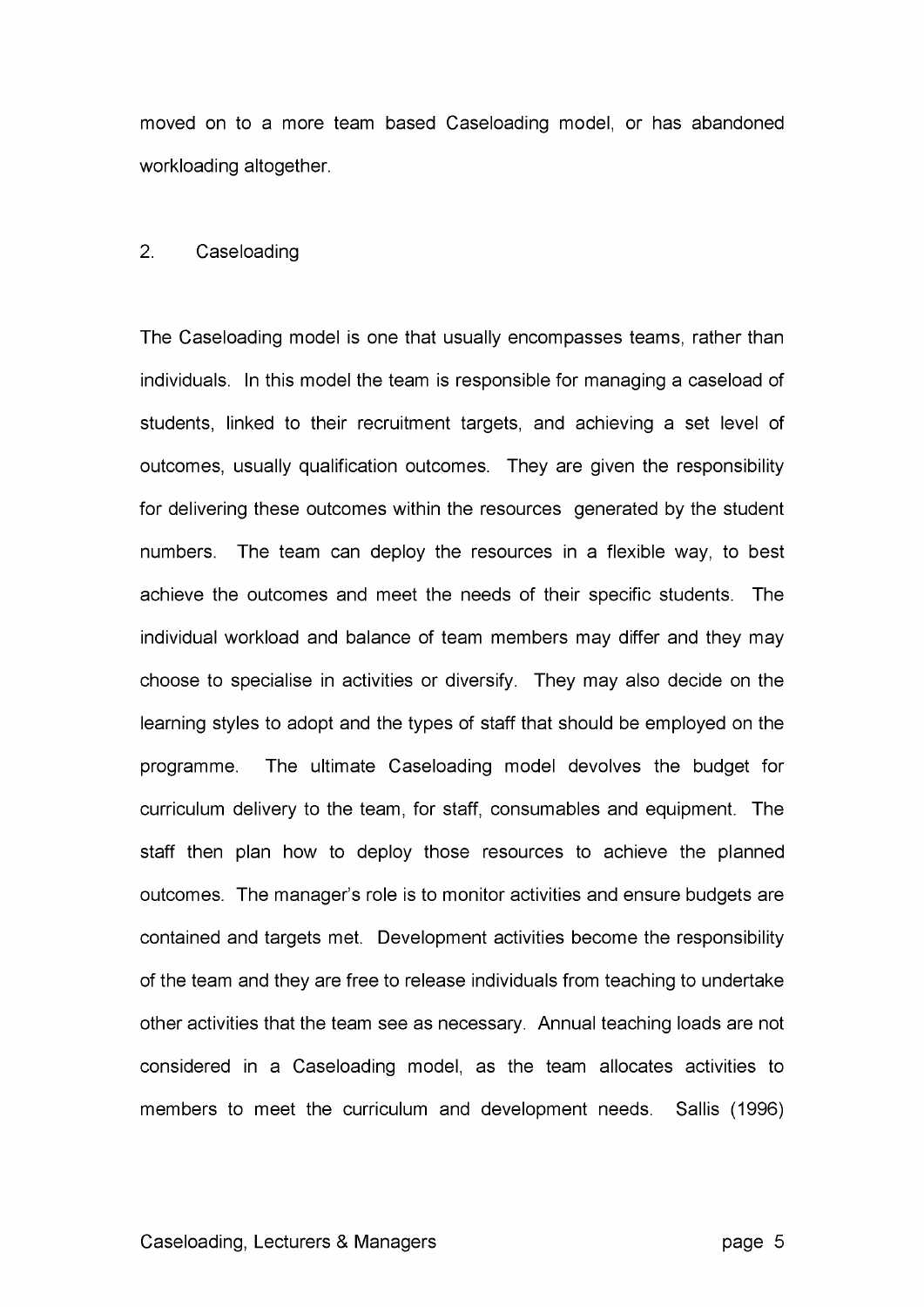moved on to a more team based Caseloading model, or has abandoned workloading altogether.

### 2. Caseloading

The Caseloading model is one that usually encompasses teams, rather than individuals. In this model the team is responsible for managing a caseload of students, linked to their recruitment targets, and achieving a set level of outcomes, usually qualification outcomes. They are given the responsibility for delivering these outcomes within the resources generated by the student numbers. The team can deploy the resources in a flexible way, to best achieve the outcomes and meet the needs of their specific students. The individual workload and balance of team members may differ and they may choose to specialise in activities or diversify. They may also decide on the learning styles to adopt and the types of staff that should be employed on the programme. The ultimate Caseloading model devolves the budget for curriculum delivery to the team, for staff, consumables and equipment. The staff then plan how to deploy those resources to achieve the planned outcomes. The manager's role is to monitor activities and ensure budgets are contained and targets met. Development activities become the responsibility of the team and they are free to release individuals from teaching to undertake other activities that the team see as necessary. Annual teaching loads are not considered in a Caseloading model, as the team allocates activities to members to meet the curriculum and development needs. Sallis (1996)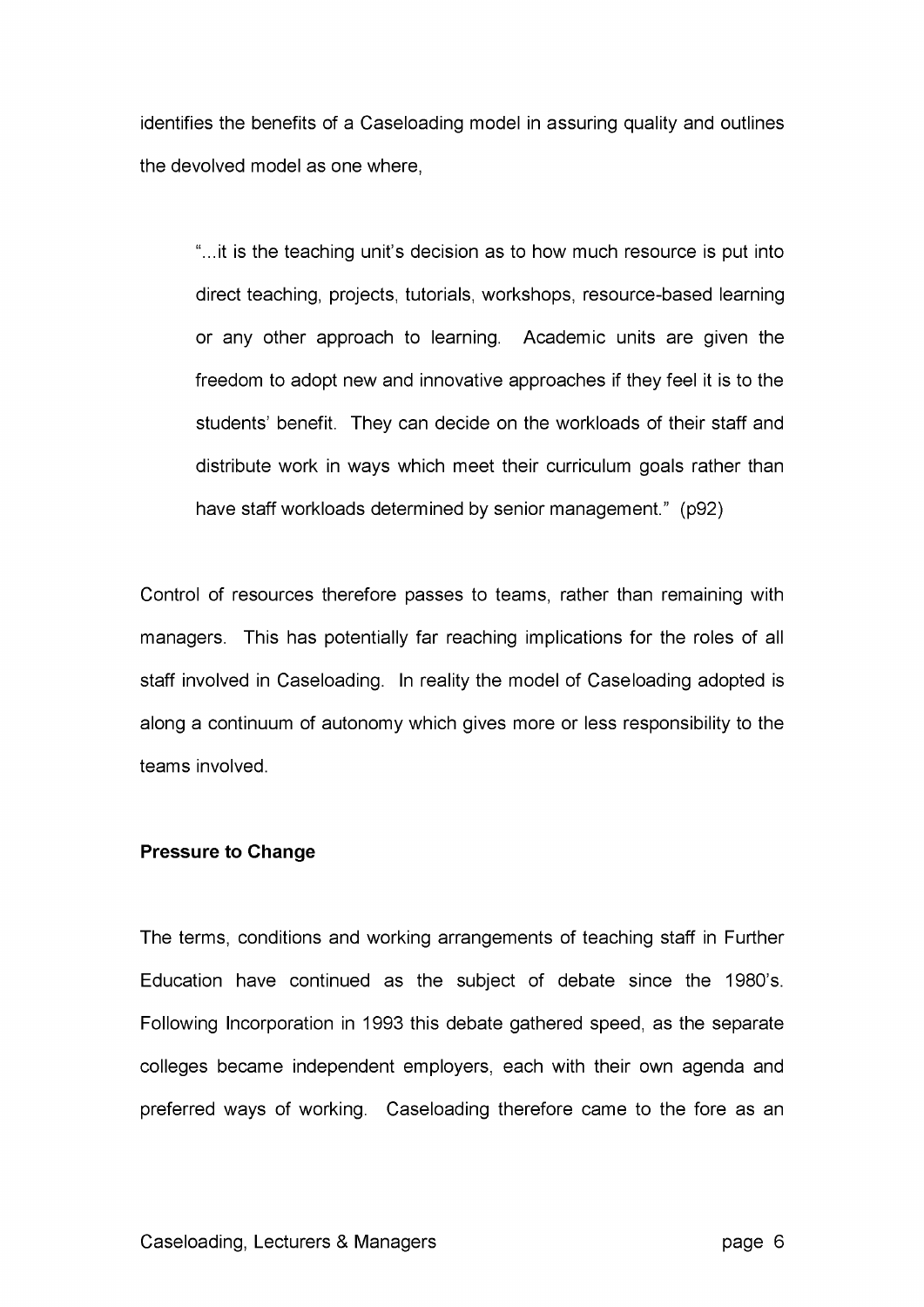identifies the benefits of a Caseloading model in assuring quality and outlines the devolved model as one where,

"...it is the teaching unit's decision as to how much resource is put into direct teaching, projects, tutorials, workshops, resource-based learning or any other approach to learning. Academic units are given the freedom to adopt new and innovative approaches if they feel it is to the students' benefit. They can decide on the workloads of their staff and distribute work in ways which meet their curriculum goals rather than have staff workloads determined by senior management." (p92)

Control of resources therefore passes to teams, rather than remaining with managers. This has potentially far reaching implications for the roles of all staff involved in Caseloading. In reality the model of Caseloading adopted is along a continuum of autonomy which gives more or less responsibility to the teams involved.

## **Pressure to Change**

The terms, conditions and working arrangements of teaching staff in Further Education have continued as the subject of debate since the 1980's. Following Incorporation in 1993 this debate gathered speed, as the separate colleges became independent employers, each with their own agenda and preferred ways of working. Caseloading therefore came to the fore as an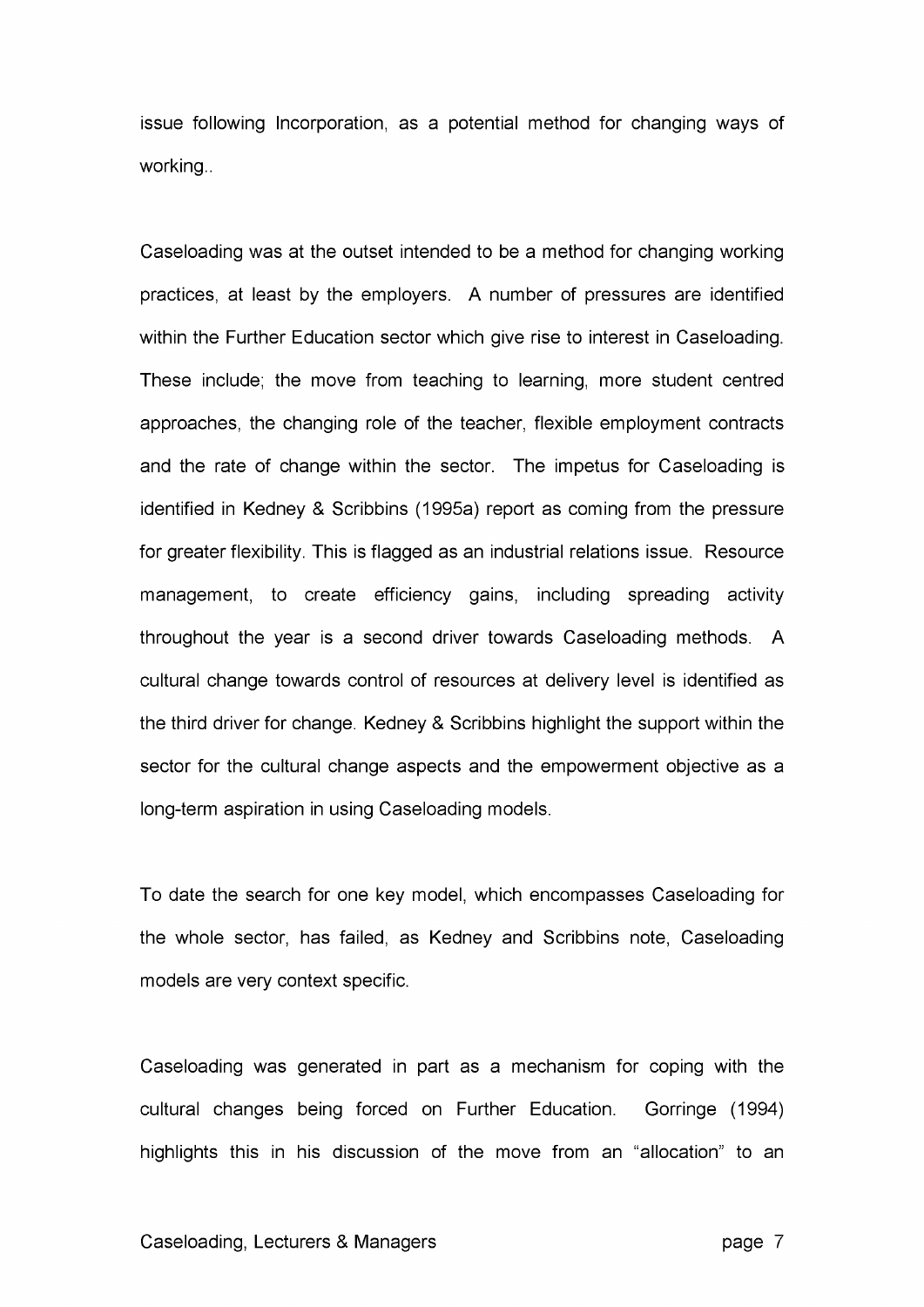issue following Incorporation, as a potential method for changing ways of working..

Caseloading was at the outset intended to be a method for changing working practices, at least by the employers. A number of pressures are identified within the Further Education sector which give rise to interest in Caseloading. These include; the move from teaching to learning, more student centred approaches, the changing role of the teacher, flexible employment contracts and the rate of change within the sector. The impetus for Caseloading is identified in Kedney & Scribbins (1995a) report as coming from the pressure for greater flexibility. This is flagged as an industrial relations issue. Resource management, to create efficiency gains, including spreading activity throughout the year is a second driver towards Caseloading methods. A cultural change towards control of resources at delivery level is identified as the third driver for change. Kedney & Scribbins highlight the support within the sector for the cultural change aspects and the empowerment objective as a long-term aspiration in using Caseloading models.

To date the search for one key model, which encompasses Caseloading for the whole sector, has failed, as Kedney and Scribbins note, Caseloading models are very context specific.

Caseloading was generated in part as a mechanism for coping with the cultural changes being forced on Further Education. Gorringe (1994) highlights this in his discussion of the move from an "allocation" to an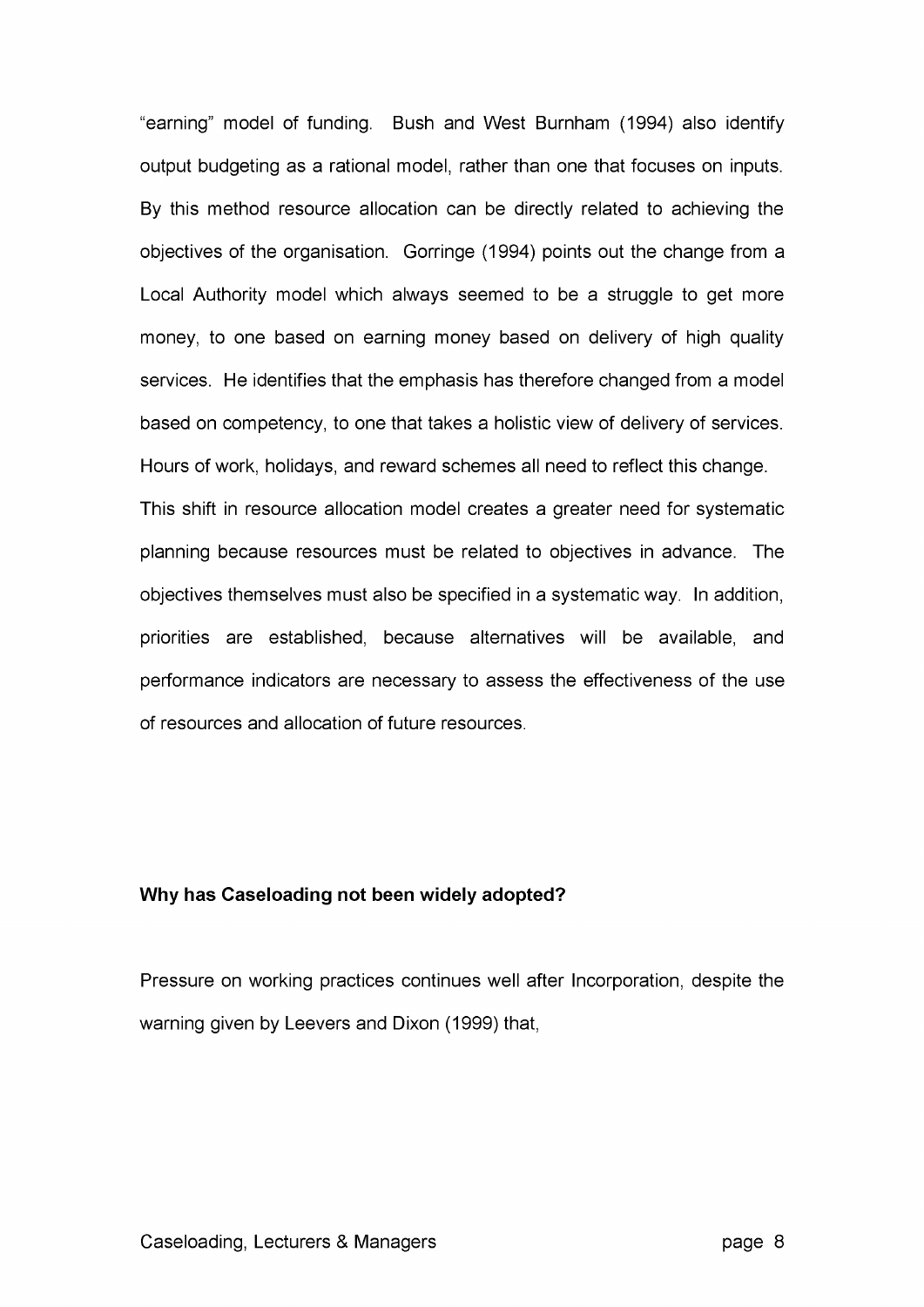"earning" model of funding. Bush and West Burnham (1994) also identify output budgeting as a rational model, rather than one that focuses on inputs. By this method resource allocation can be directly related to achieving the objectives of the organisation. Gorringe (1994) points out the change from a Local Authority model which always seemed to be a struggle to get more money, to one based on earning money based on delivery of high quality services. He identifies that the emphasis has therefore changed from a model based on competency, to one that takes a holistic view of delivery of services. Hours of work, holidays, and reward schemes all need to reflect this change. This shift in resource allocation model creates a greater need for systematic planning because resources must be related to objectives in advance. The objectives themselves must also be specified in a systematic way. In addition, priorities are established, because alternatives will be available, and performance indicators are necessary to assess the effectiveness of the use of resources and allocation of future resources.

## **Why has Caseloading not been widely adopted?**

Pressure on working practices continues well after Incorporation, despite the warning given by Leevers and Dixon (1999) that,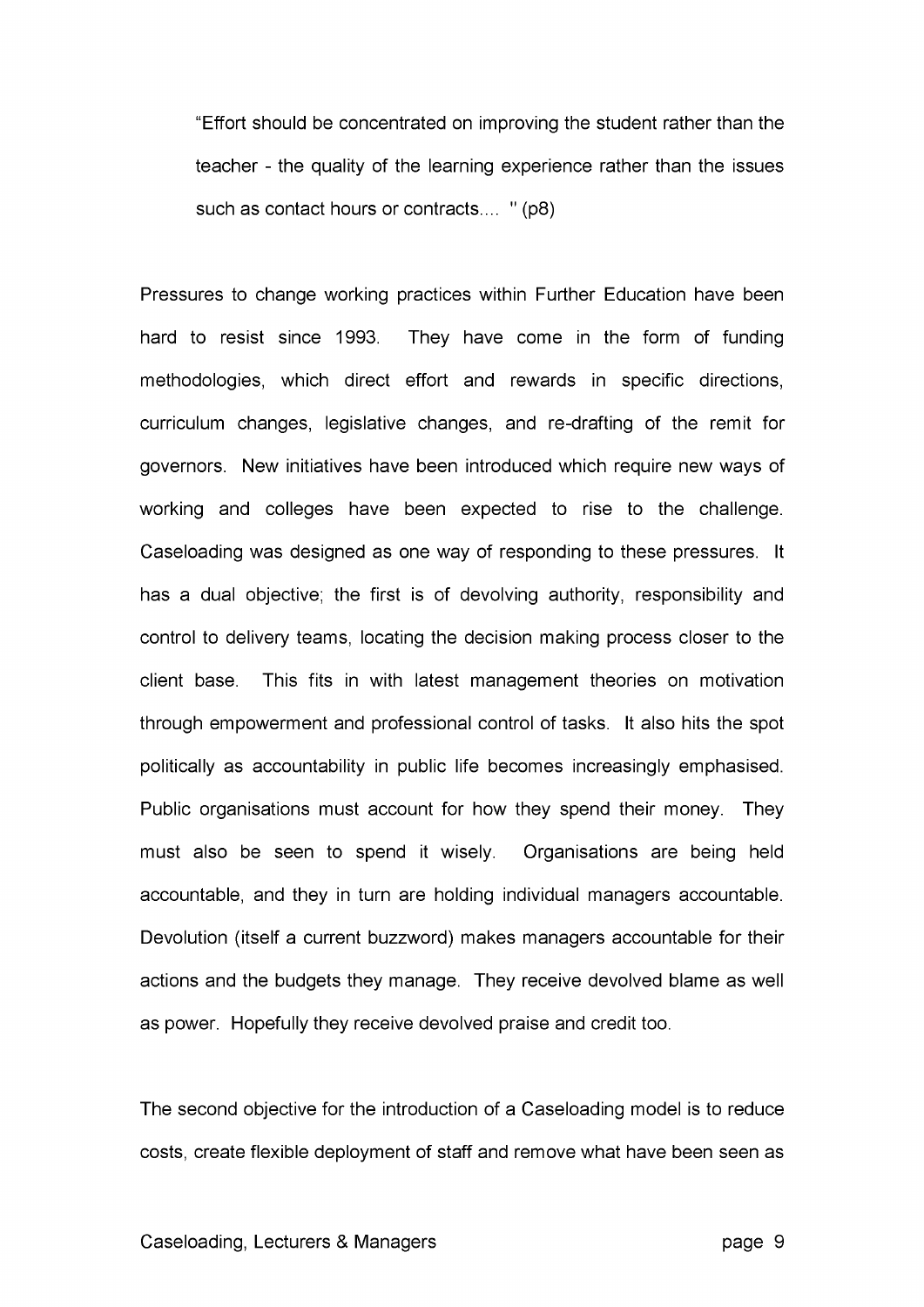"Effort should be concentrated on improving the student rather than the teacher - the quality of the learning experience rather than the issues such as contact hours or contracts.... " (p8)

Pressures to change working practices within Further Education have been hard to resist since 1993. They have come in the form of funding methodologies, which direct effort and rewards in specific directions, curriculum changes, legislative changes, and re-drafting of the remit for governors. New initiatives have been introduced which require new ways of working and colleges have been expected to rise to the challenge. Caseloading was designed as one way of responding to these pressures. It has a dual objective; the first is of devolving authority, responsibility and control to delivery teams, locating the decision making process closer to the client base. This fits in with latest management theories on motivation through empowerment and professional control of tasks. It also hits the spot politically as accountability in public life becomes increasingly emphasised. Public organisations must account for how they spend their money. They must also be seen to spend it wisely. Organisations are being held accountable, and they in turn are holding individual managers accountable. Devolution (itself a current buzzword) makes managers accountable for their actions and the budgets they manage. They receive devolved blame as well as power. Hopefully they receive devolved praise and credit too.

The second objective for the introduction of a Caseloading model is to reduce costs, create flexible deployment of staff and remove what have been seen as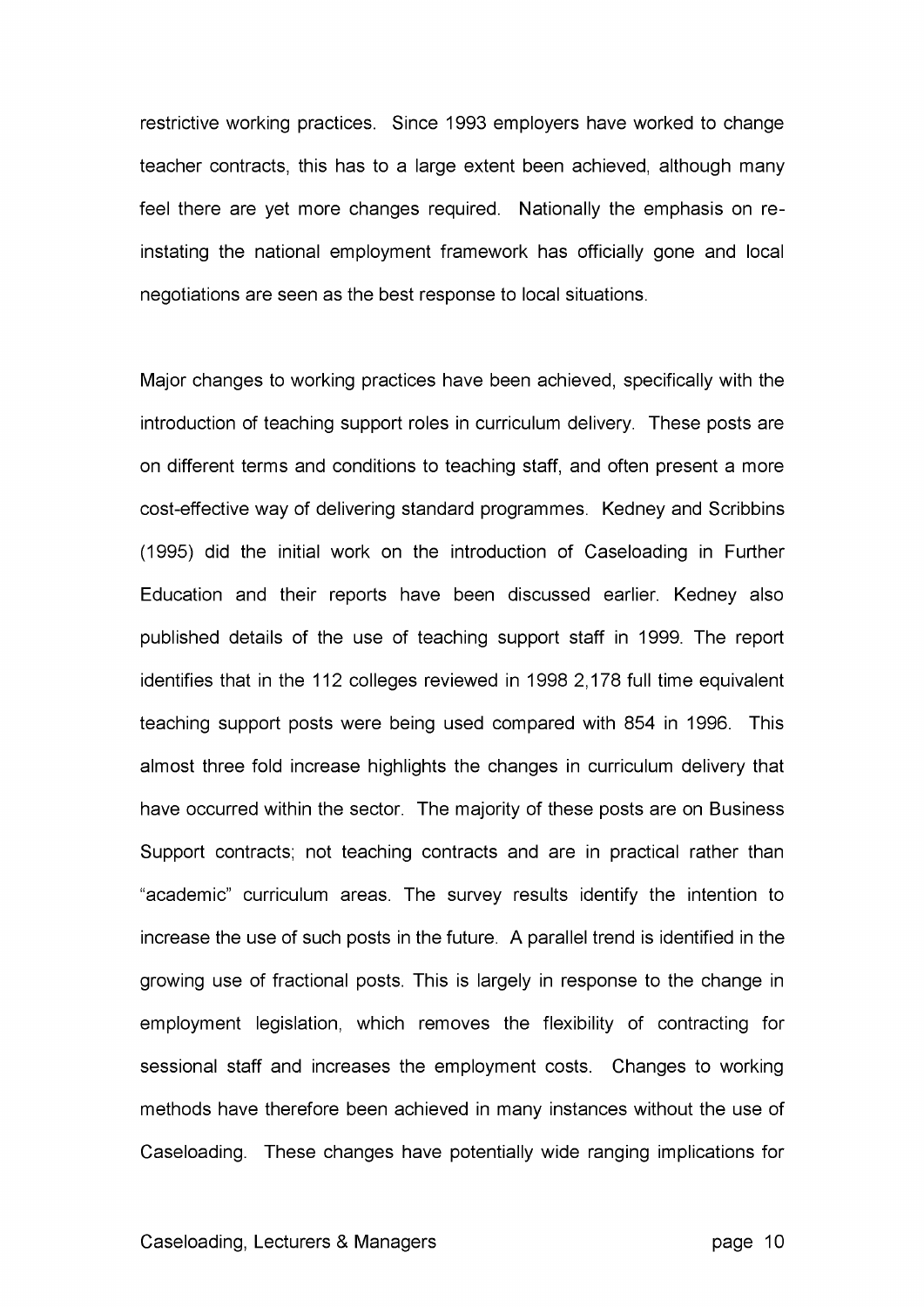restrictive working practices. Since 1993 employers have worked to change teacher contracts, this has to a large extent been achieved, although many feel there are yet more changes required. Nationally the emphasis on reinstating the national employment framework has officially gone and local negotiations are seen as the best response to local situations.

Major changes to working practices have been achieved, specifically with the introduction of teaching support roles in curriculum delivery. These posts are on different terms and conditions to teaching staff, and often present a more cost-effective way of delivering standard programmes. Kedney and Scribbins (1995) did the initial work on the introduction of Caseloading in Further Education and their reports have been discussed earlier. Kedney also published details of the use of teaching support staff in 1999. The report identifies that in the 112 colleges reviewed in 1998 2,178 full time equivalent teaching support posts were being used compared with 854 in 1996. This almost three fold increase highlights the changes in curriculum delivery that have occurred within the sector. The majority of these posts are on Business Support contracts; not teaching contracts and are in practical rather than "academic" curriculum areas. The survey results identify the intention to increase the use of such posts in the future. A parallel trend is identified in the growing use of fractional posts. This is largely in response to the change in employment legislation, which removes the flexibility of contracting for sessional staff and increases the employment costs. Changes to working methods have therefore been achieved in many instances without the use of Caseloading. These changes have potentially wide ranging implications for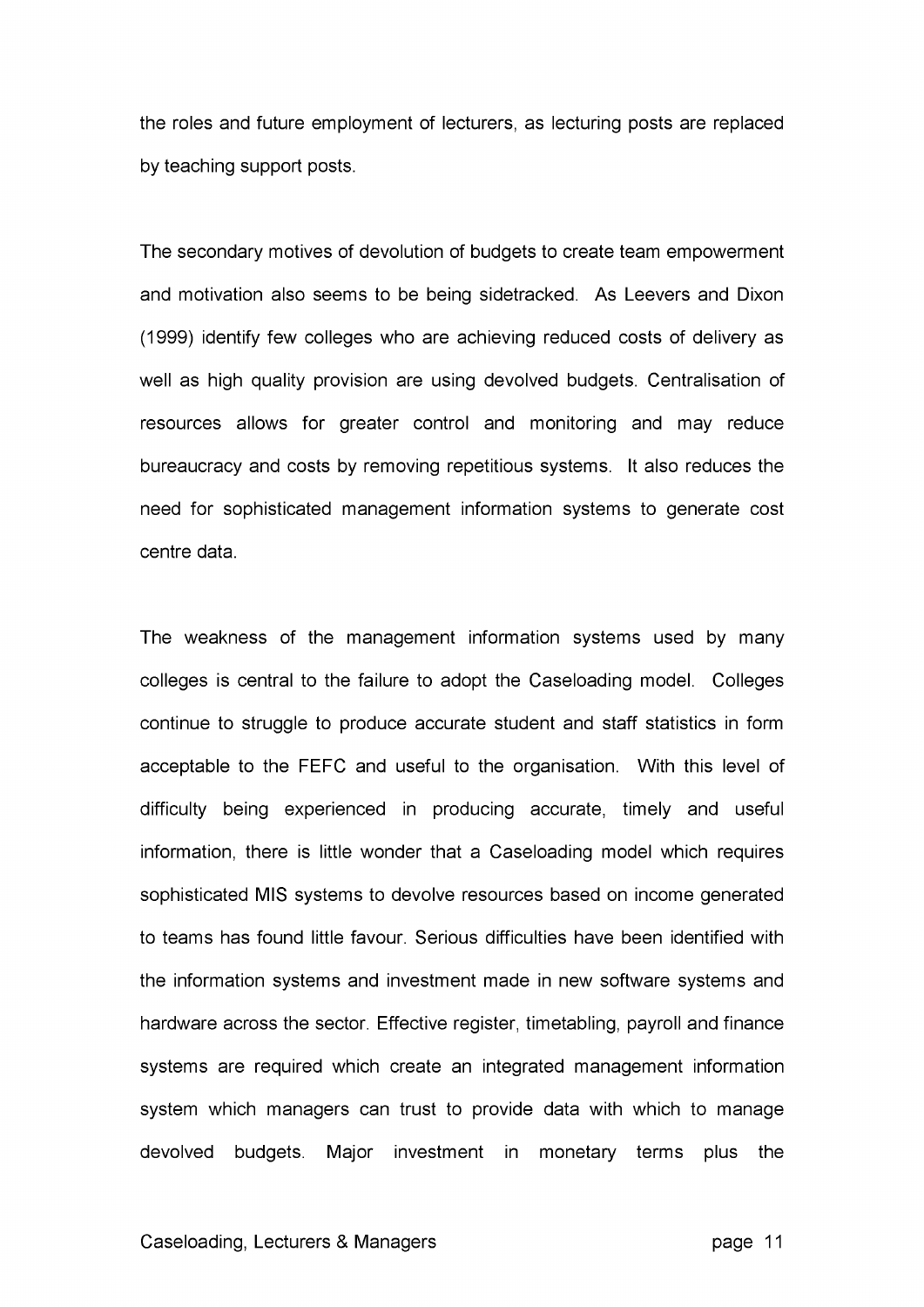the roles and future employment of lecturers, as lecturing posts are replaced by teaching support posts.

The secondary motives of devolution of budgets to create team empowerment and motivation also seems to be being sidetracked. As Leevers and Dixon (1999) identify few colleges who are achieving reduced costs of delivery as well as high quality provision are using devolved budgets. Centralisation of resources allows for greater control and monitoring and may reduce bureaucracy and costs by removing repetitious systems. It also reduces the need for sophisticated management information systems to generate cost centre data.

The weakness of the management information systems used by many colleges is central to the failure to adopt the Caseloading model. Colleges continue to struggle to produce accurate student and staff statistics in form acceptable to the FEFC and useful to the organisation. With this level of difficulty being experienced in producing accurate, timely and useful information, there is little wonder that a Caseloading model which requires sophisticated MIS systems to devolve resources based on income generated to teams has found little favour. Serious difficulties have been identified with the information systems and investment made in new software systems and hardware across the sector. Effective register, timetabling, payroll and finance systems are required which create an integrated management information system which managers can trust to provide data with which to manage devolved budgets. Major investment in monetary terms plus the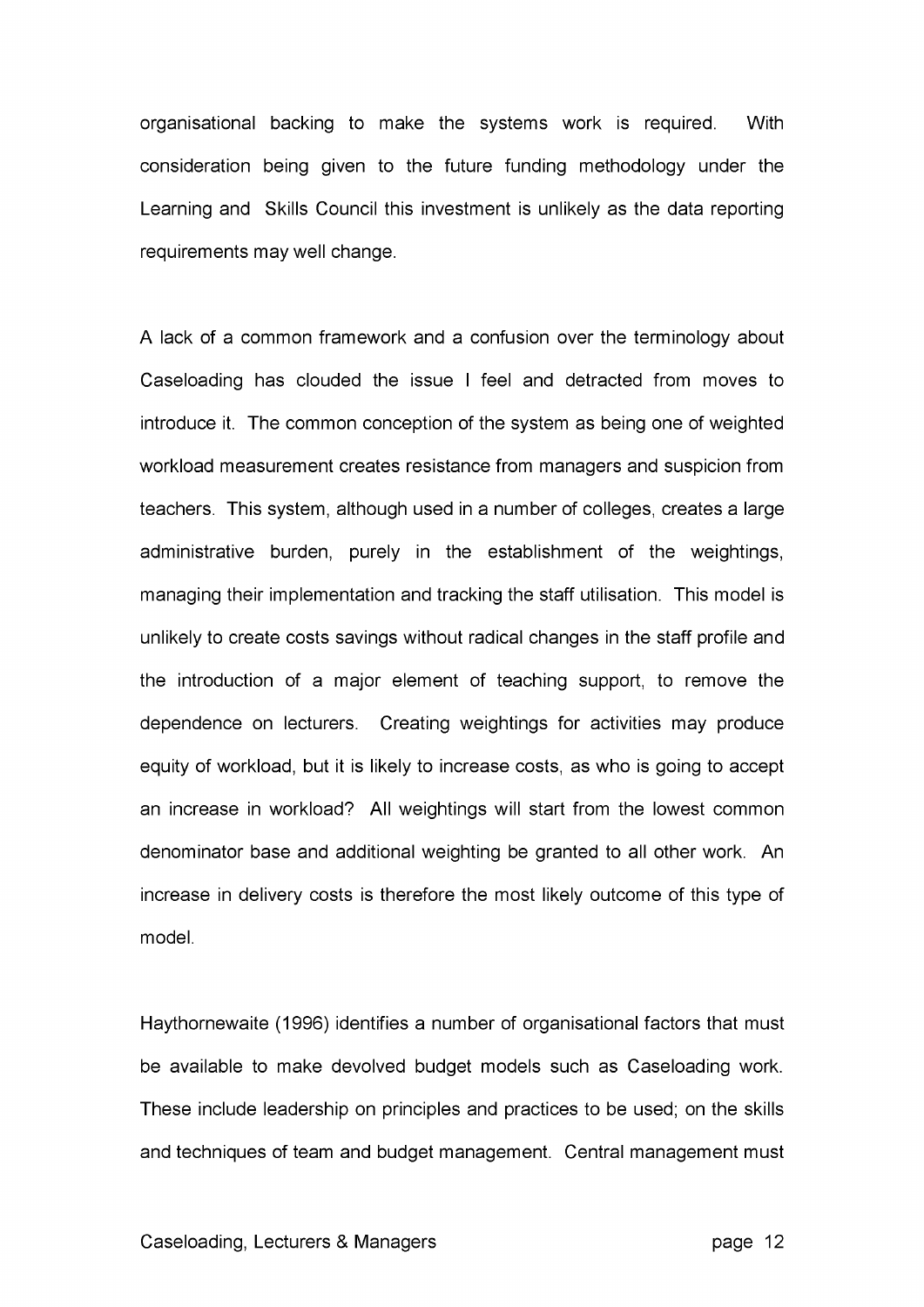organisational backing to make the systems work is required. With consideration being given to the future funding methodology under the Learning and Skills Council this investment is unlikely as the data reporting requirements may well change.

A lack of a common framework and a confusion over the terminology about Caseloading has clouded the issue I feel and detracted from moves to introduce it. The common conception of the system as being one of weighted workload measurement creates resistance from managers and suspicion from teachers. This system, although used in a number of colleges, creates a large administrative burden, purely in the establishment of the weightings, managing their implementation and tracking the staff utilisation. This model is unlikely to create costs savings without radical changes in the staff profile and the introduction of a major element of teaching support, to remove the dependence on lecturers. Creating weightings for activities may produce equity of workload, but it is likely to increase costs, as who is going to accept an increase in workload? All weightings will start from the lowest common denominator base and additional weighting be granted to all other work. An increase in delivery costs is therefore the most likely outcome of this type of model.

Haythornewaite (1996) identifies a number of organisational factors that must be available to make devolved budget models such as Caseloading work. These include leadership on principles and practices to be used; on the skills and techniques of team and budget management. Central management must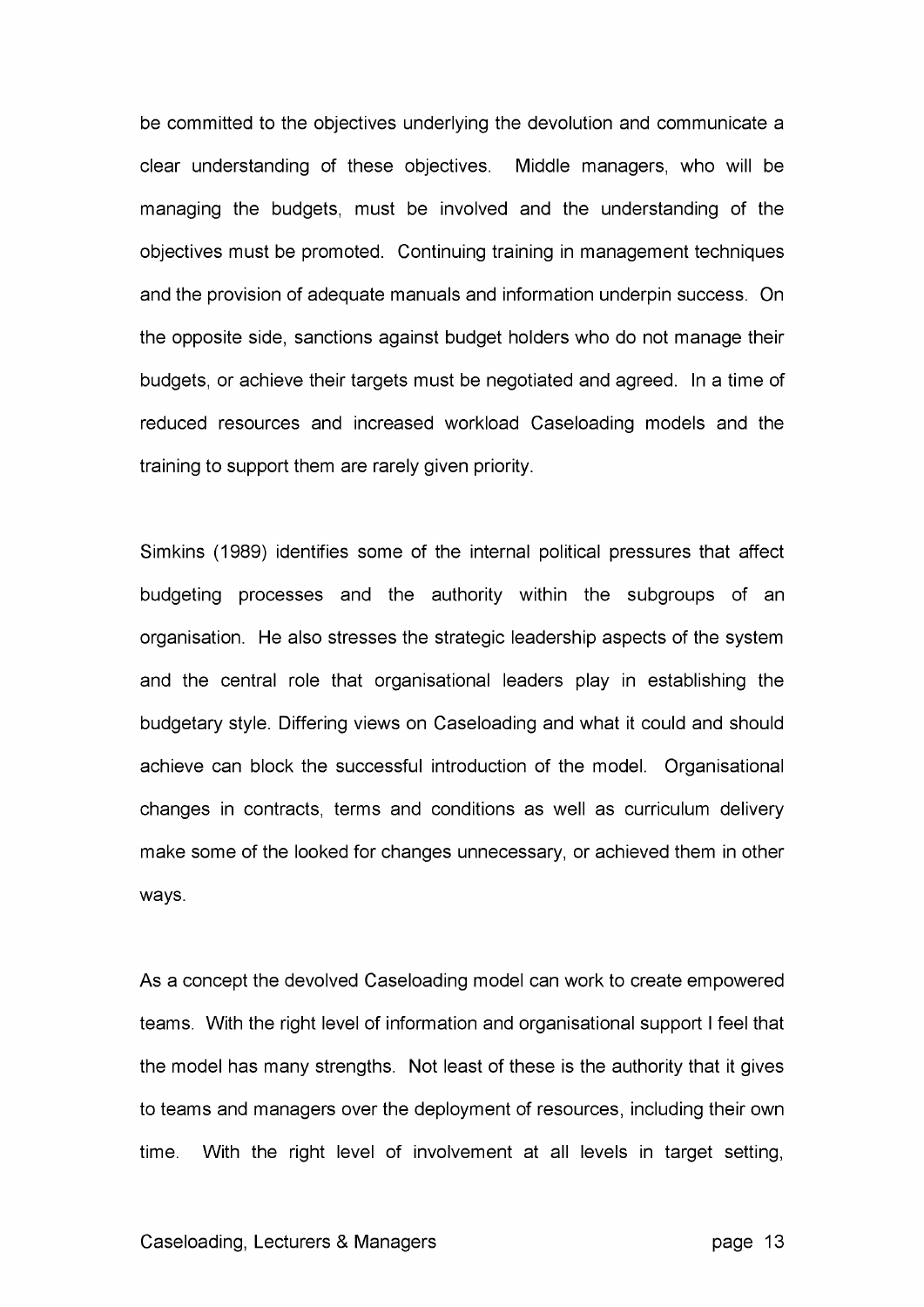be committed to the objectives underlying the devolution and communicate a clear understanding of these objectives. Middle managers, who will be managing the budgets, must be involved and the understanding of the objectives must be promoted. Continuing training in management techniques and the provision of adequate manuals and information underpin success. On the opposite side, sanctions against budget holders who do not manage their budgets, or achieve their targets must be negotiated and agreed. In a time of reduced resources and increased workload Caseloading models and the training to support them are rarely given priority.

Simkins (1989) identifies some of the internal political pressures that affect budgeting processes and the authority within the subgroups of an organisation. He also stresses the strategic leadership aspects of the system and the central role that organisational leaders play in establishing the budgetary style. Differing views on Caseloading and what it could and should achieve can block the successful introduction of the model. Organisational changes in contracts, terms and conditions as well as curriculum delivery make some of the looked for changes unnecessary, or achieved them in other ways.

As a concept the devolved Caseloading model can work to create empowered teams. With the right level of information and organisational support I feel that the model has many strengths. Not least of these is the authority that it gives to teams and managers over the deployment of resources, including their own time. With the right level of involvement at all levels in target setting,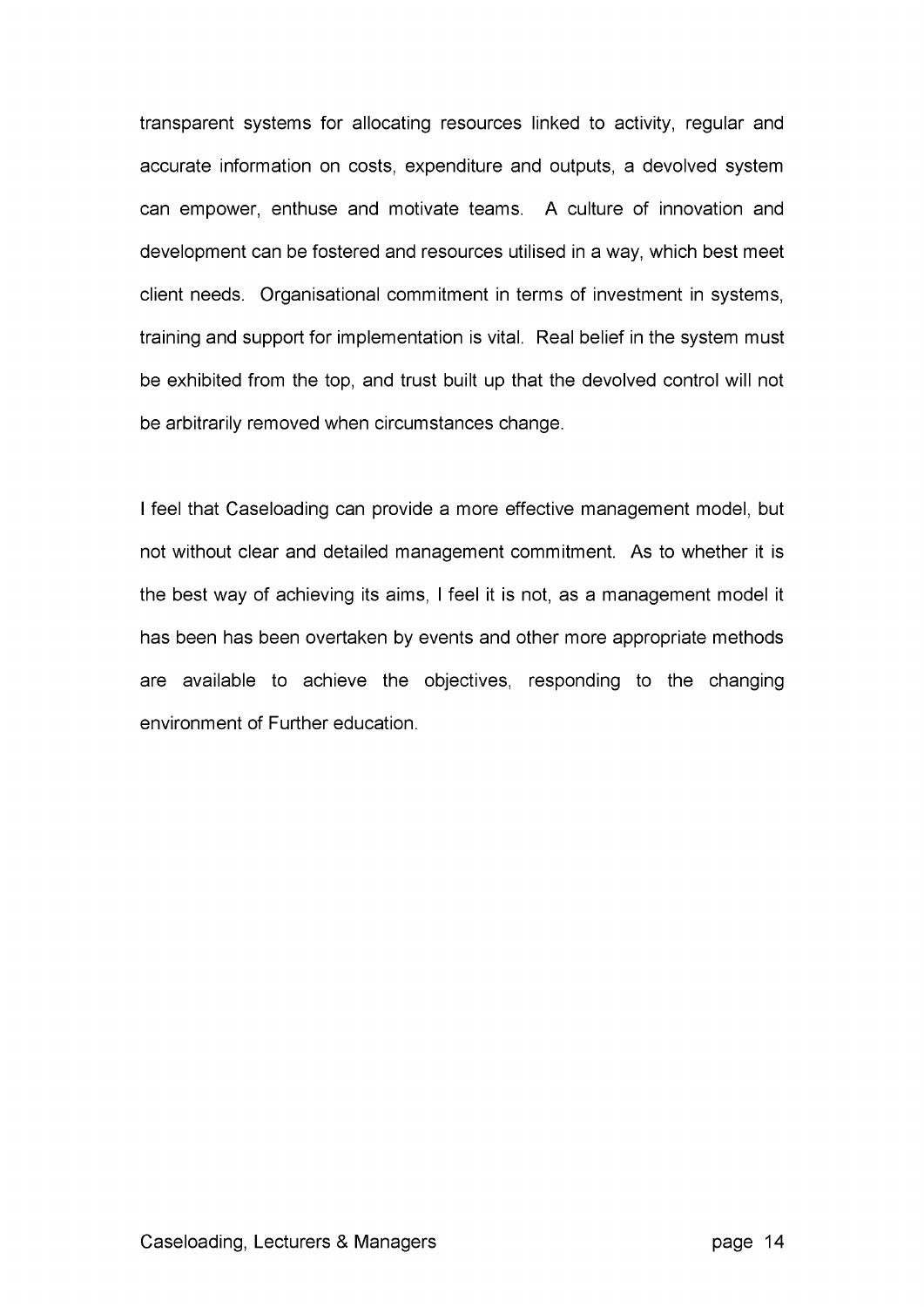transparent systems for allocating resources linked to activity, regular and accurate information on costs, expenditure and outputs, a devolved system can empower, enthuse and motivate teams. A culture of innovation and development can be fostered and resources utilised in a way, which best meet client needs. Organisational commitment in terms of investment in systems, training and support for implementation is vital. Real belief in the system must be exhibited from the top, and trust built up that the devolved control will not be arbitrarily removed when circumstances change.

I feel that Caseloading can provide a more effective management model, but not without clear and detailed management commitment. As to whether it is the best way of achieving its aims, I feel it is not, as a management model it has been has been overtaken by events and other more appropriate methods are available to achieve the objectives, responding to the changing environment of Further education.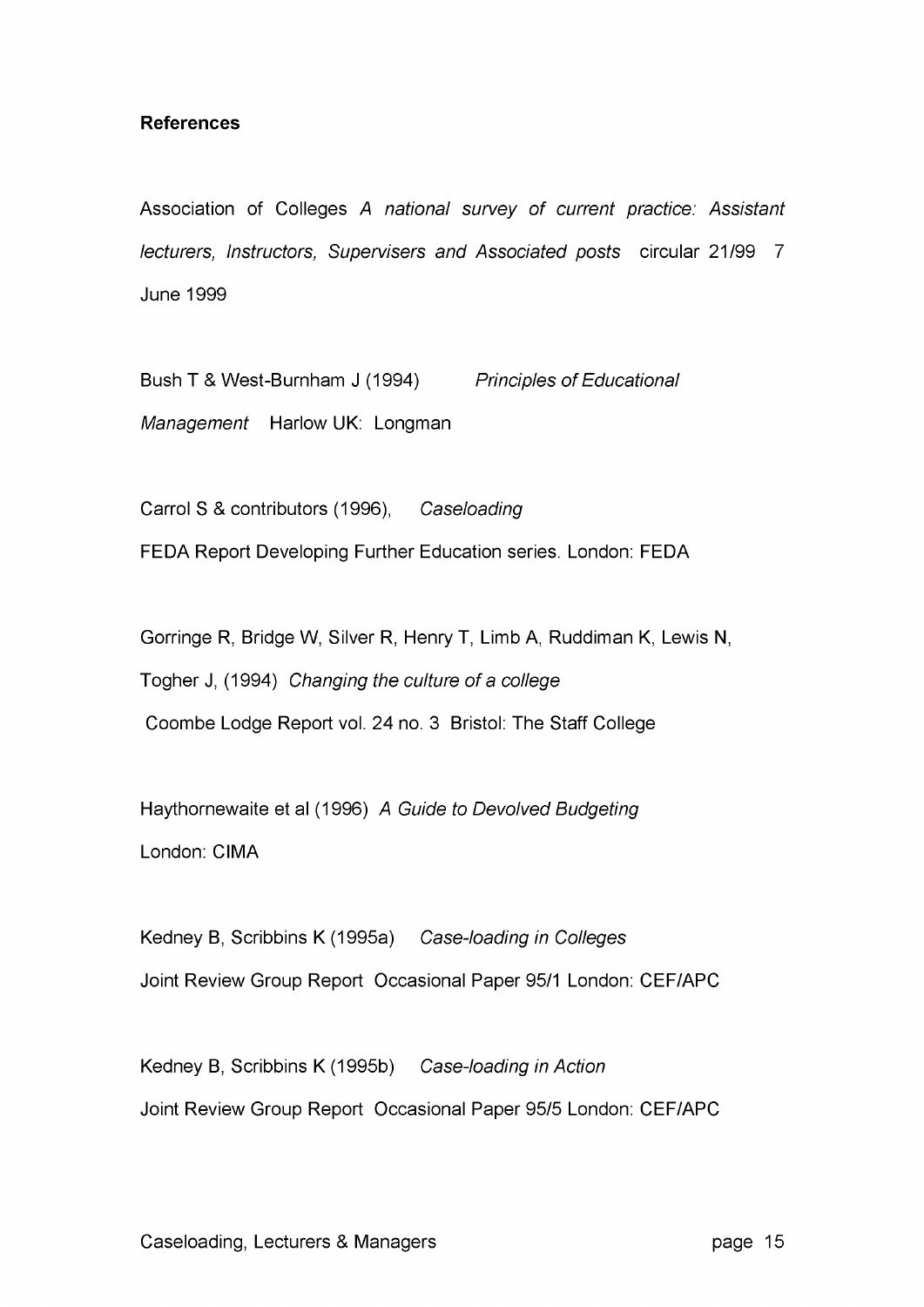# **References**

Association of Colleges A national survey of current practice: Assistant lecturers, Instructors, Supervisers and Associated posts circular 21/99 7 June 1999

Bush T & West-Burnham J (1994) Principles of Educational Management Harlow UK: Longman

Carrol S & contributors (1996), Caseloading FEDA Report Developing Further Education series. London: FEDA

Gorringe R, Bridge W, Silver R, Henry T, Limb A, Ruddiman K, Lewis N, Togher J, (1994) Changing the culture of a college Coombe Lodge Report vol. 24 no. 3 Bristol: The Staff College

Haythornewaite et al (1996) A Guide to Devolved Budgeting London: CIMA

Kedney B, Scribbins K (1995a) Case-loading in Colleges Joint Review Group Report Occasional Paper 95/1 London: CEF/APC

Kedney B, Scribbins K (1995b) Case-loading in Action Joint Review Group Report Occasional Paper 95/5 London: CEF/APC